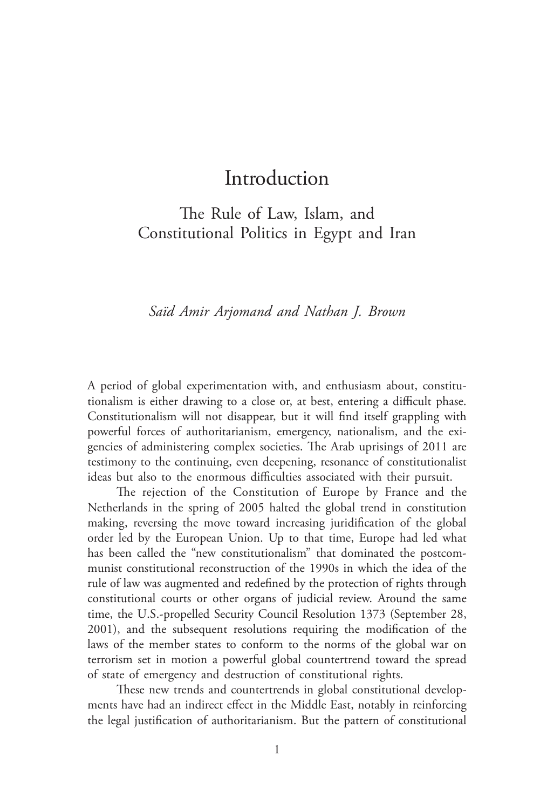The Rule of Law, Islam, and Constitutional Politics in Egypt and Iran

## *Saïd Amir Arjomand and Nathan J. Brown*

A period of global experimentation with, and enthusiasm about, constitutionalism is either drawing to a close or, at best, entering a difficult phase. Constitutionalism will not disappear, but it will find itself grappling with powerful forces of authoritarianism, emergency, nationalism, and the exigencies of administering complex societies. The Arab uprisings of 2011 are testimony to the continuing, even deepening, resonance of constitutionalist ideas but also to the enormous difficulties associated with their pursuit.

The rejection of the Constitution of Europe by France and the Netherlands in the spring of 2005 halted the global trend in constitution making, reversing the move toward increasing juridification of the global order led by the European Union. Up to that time, Europe had led what has been called the "new constitutionalism" that dominated the postcommunist constitutional reconstruction of the 1990s in which the idea of the rule of law was augmented and redefined by the protection of rights through constitutional courts or other organs of judicial review. Around the same time, the U.S.‑propelled Security Council Resolution 1373 (September 28, 2001), and the subsequent resolutions requiring the modification of the laws of the member states to conform to the norms of the global war on terrorism set in motion a powerful global countertrend toward the spread of state of emergency and destruction of constitutional rights.

These new trends and countertrends in global constitutional developments have had an indirect effect in the Middle East, notably in reinforcing the legal justification of authoritarianism. But the pattern of constitutional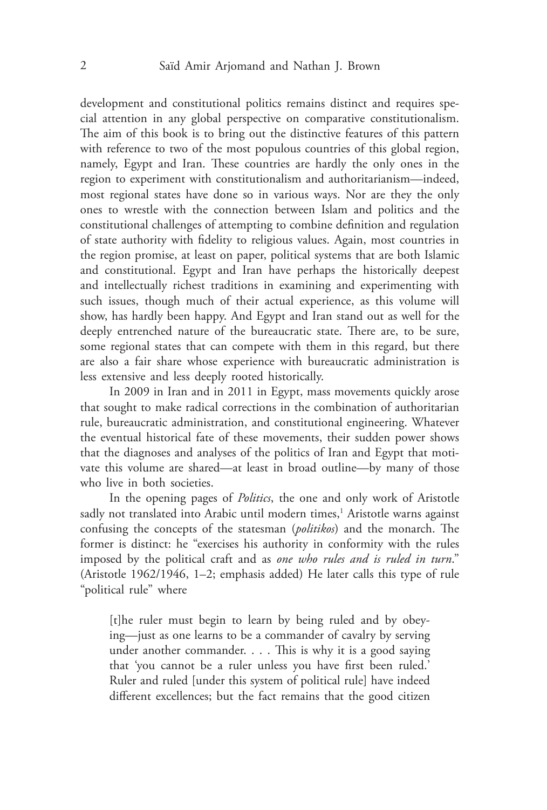development and constitutional politics remains distinct and requires special attention in any global perspective on comparative constitutionalism. The aim of this book is to bring out the distinctive features of this pattern with reference to two of the most populous countries of this global region, namely, Egypt and Iran. These countries are hardly the only ones in the region to experiment with constitutionalism and authoritarianism—indeed, most regional states have done so in various ways. Nor are they the only ones to wrestle with the connection between Islam and politics and the constitutional challenges of attempting to combine definition and regulation of state authority with fidelity to religious values. Again, most countries in the region promise, at least on paper, political systems that are both Islamic and constitutional. Egypt and Iran have perhaps the historically deepest and intellectually richest traditions in examining and experimenting with such issues, though much of their actual experience, as this volume will show, has hardly been happy. And Egypt and Iran stand out as well for the deeply entrenched nature of the bureaucratic state. There are, to be sure, some regional states that can compete with them in this regard, but there are also a fair share whose experience with bureaucratic administration is less extensive and less deeply rooted historically.

In 2009 in Iran and in 2011 in Egypt, mass movements quickly arose that sought to make radical corrections in the combination of authoritarian rule, bureaucratic administration, and constitutional engineering. Whatever the eventual historical fate of these movements, their sudden power shows that the diagnoses and analyses of the politics of Iran and Egypt that motivate this volume are shared—at least in broad outline—by many of those who live in both societies.

In the opening pages of *Politics*, the one and only work of Aristotle sadly not translated into Arabic until modern times,<sup>1</sup> Aristotle warns against confusing the concepts of the statesman (*politikos*) and the monarch. The former is distinct: he "exercises his authority in conformity with the rules imposed by the political craft and as *one who rules and is ruled in turn*." (Aristotle 1962/1946, 1–2; emphasis added) He later calls this type of rule "political rule" where

[t]he ruler must begin to learn by being ruled and by obeying—just as one learns to be a commander of cavalry by serving under another commander. . . . This is why it is a good saying that 'you cannot be a ruler unless you have first been ruled.' Ruler and ruled [under this system of political rule] have indeed different excellences; but the fact remains that the good citizen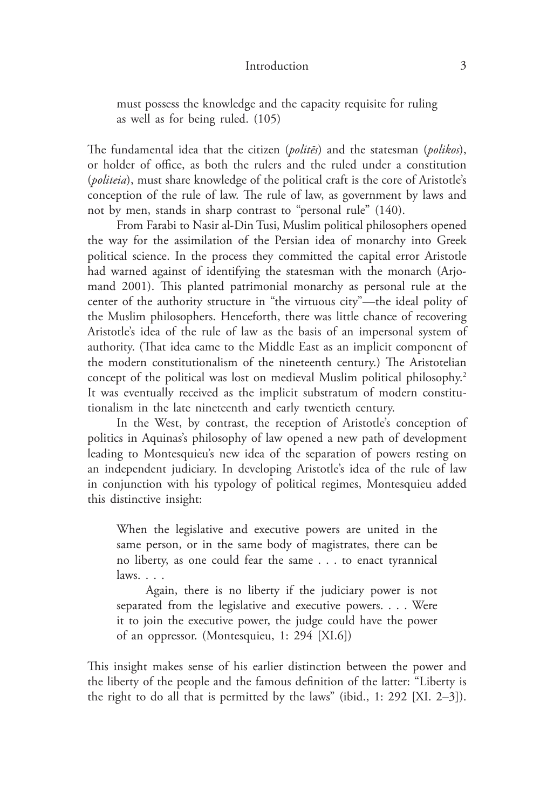must possess the knowledge and the capacity requisite for ruling as well as for being ruled. (105)

The fundamental idea that the citizen (*politēs*) and the statesman (*polikos*), or holder of office, as both the rulers and the ruled under a constitution (*politeia*), must share knowledge of the political craft is the core of Aristotle's conception of the rule of law. The rule of law, as government by laws and not by men, stands in sharp contrast to "personal rule" (140).

From Farabi to Nasir al-Din Tusi, Muslim political philosophers opened the way for the assimilation of the Persian idea of monarchy into Greek political science. In the process they committed the capital error Aristotle had warned against of identifying the statesman with the monarch (Arjomand 2001). This planted patrimonial monarchy as personal rule at the center of the authority structure in "the virtuous city"—the ideal polity of the Muslim philosophers. Henceforth, there was little chance of recovering Aristotle's idea of the rule of law as the basis of an impersonal system of authority. (That idea came to the Middle East as an implicit component of the modern constitutionalism of the nineteenth century.) The Aristotelian concept of the political was lost on medieval Muslim political philosophy.<sup>2</sup> It was eventually received as the implicit substratum of modern constitutionalism in the late nineteenth and early twentieth century.

In the West, by contrast, the reception of Aristotle's conception of politics in Aquinas's philosophy of law opened a new path of development leading to Montesquieu's new idea of the separation of powers resting on an independent judiciary. In developing Aristotle's idea of the rule of law in conjunction with his typology of political regimes, Montesquieu added this distinctive insight:

When the legislative and executive powers are united in the same person, or in the same body of magistrates, there can be no liberty, as one could fear the same . . . to enact tyrannical laws. . . .

Again, there is no liberty if the judiciary power is not separated from the legislative and executive powers. . . . Were it to join the executive power, the judge could have the power of an oppressor. (Montesquieu, 1: 294 [XI.6])

This insight makes sense of his earlier distinction between the power and the liberty of the people and the famous definition of the latter: "Liberty is the right to do all that is permitted by the laws" (ibid., 1: 292 [XI. 2–3]).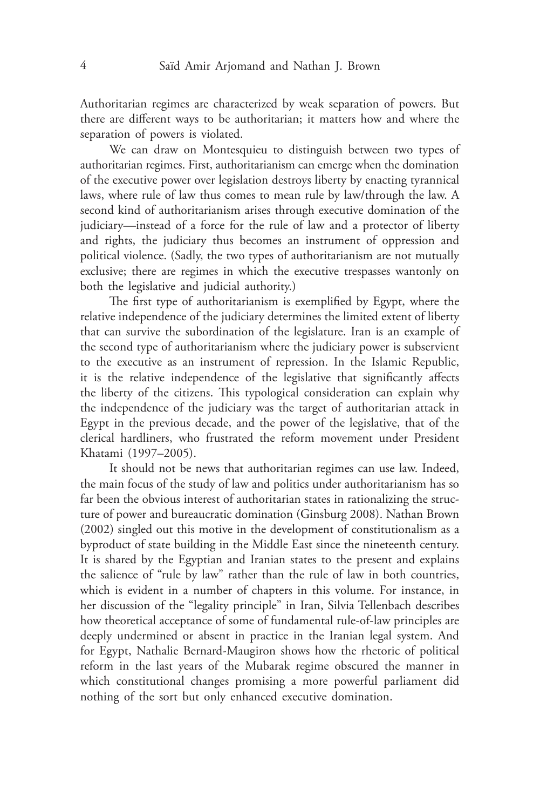Authoritarian regimes are characterized by weak separation of powers. But there are different ways to be authoritarian; it matters how and where the separation of powers is violated.

We can draw on Montesquieu to distinguish between two types of authoritarian regimes. First, authoritarianism can emerge when the domination of the executive power over legislation destroys liberty by enacting tyrannical laws, where rule of law thus comes to mean rule by law/through the law. A second kind of authoritarianism arises through executive domination of the judiciary—instead of a force for the rule of law and a protector of liberty and rights, the judiciary thus becomes an instrument of oppression and political violence. (Sadly, the two types of authoritarianism are not mutually exclusive; there are regimes in which the executive trespasses wantonly on both the legislative and judicial authority.)

The first type of authoritarianism is exemplified by Egypt, where the relative independence of the judiciary determines the limited extent of liberty that can survive the subordination of the legislature. Iran is an example of the second type of authoritarianism where the judiciary power is subservient to the executive as an instrument of repression. In the Islamic Republic, it is the relative independence of the legislative that significantly affects the liberty of the citizens. This typological consideration can explain why the independence of the judiciary was the target of authoritarian attack in Egypt in the previous decade, and the power of the legislative, that of the clerical hardliners, who frustrated the reform movement under President Khatami (1997–2005).

It should not be news that authoritarian regimes can use law. Indeed, the main focus of the study of law and politics under authoritarianism has so far been the obvious interest of authoritarian states in rationalizing the structure of power and bureaucratic domination (Ginsburg 2008). Nathan Brown (2002) singled out this motive in the development of constitutionalism as a byproduct of state building in the Middle East since the nineteenth century. It is shared by the Egyptian and Iranian states to the present and explains the salience of "rule by law" rather than the rule of law in both countries, which is evident in a number of chapters in this volume. For instance, in her discussion of the "legality principle" in Iran, Silvia Tellenbach describes how theoretical acceptance of some of fundamental rule-of-law principles are deeply undermined or absent in practice in the Iranian legal system. And for Egypt, Nathalie Bernard‑Maugiron shows how the rhetoric of political reform in the last years of the Mubarak regime obscured the manner in which constitutional changes promising a more powerful parliament did nothing of the sort but only enhanced executive domination.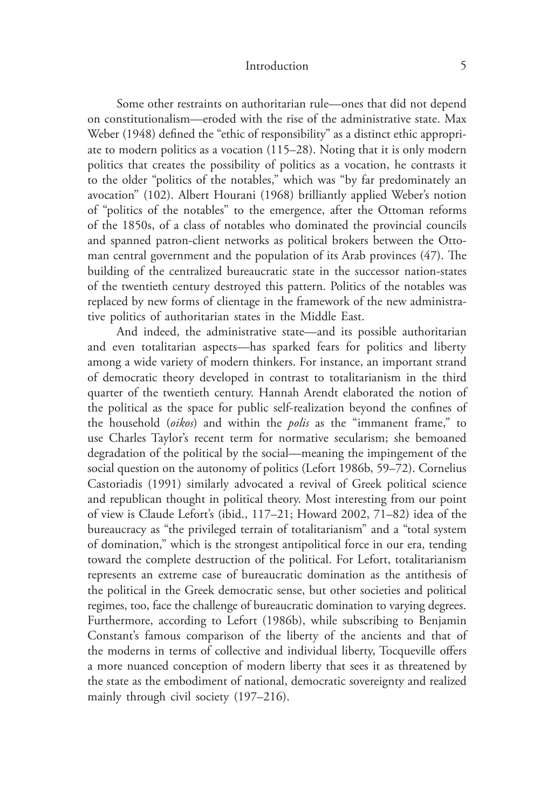Some other restraints on authoritarian rule—ones that did not depend on constitutionalism—eroded with the rise of the administrative state. Max Weber (1948) defined the "ethic of responsibility" as a distinct ethic appropriate to modern politics as a vocation (115–28). Noting that it is only modern politics that creates the possibility of politics as a vocation, he contrasts it to the older "politics of the notables," which was "by far predominately an avocation" (102). Albert Hourani (1968) brilliantly applied Weber's notion of "politics of the notables" to the emergence, after the Ottoman reforms of the 1850s, of a class of notables who dominated the provincial councils and spanned patron-client networks as political brokers between the Ottoman central government and the population of its Arab provinces (47). The building of the centralized bureaucratic state in the successor nation-states of the twentieth century destroyed this pattern. Politics of the notables was replaced by new forms of clientage in the framework of the new administrative politics of authoritarian states in the Middle East.

And indeed, the administrative state—and its possible authoritarian and even totalitarian aspects—has sparked fears for politics and liberty among a wide variety of modern thinkers. For instance, an important strand of democratic theory developed in contrast to totalitarianism in the third quarter of the twentieth century. Hannah Arendt elaborated the notion of the political as the space for public self‑realization beyond the confines of the household (*oikos*) and within the *polis* as the "immanent frame," to use Charles Taylor's recent term for normative secularism; she bemoaned degradation of the political by the social—meaning the impingement of the social question on the autonomy of politics (Lefort 1986b, 59–72). Cornelius Castoriadis (1991) similarly advocated a revival of Greek political science and republican thought in political theory. Most interesting from our point of view is Claude Lefort's (ibid., 117–21; Howard 2002, 71–82) idea of the bureaucracy as "the privileged terrain of totalitarianism" and a "total system of domination," which is the strongest antipolitical force in our era, tending toward the complete destruction of the political. For Lefort, totalitarianism represents an extreme case of bureaucratic domination as the antithesis of the political in the Greek democratic sense, but other societies and political regimes, too, face the challenge of bureaucratic domination to varying degrees. Furthermore, according to Lefort (1986b), while subscribing to Benjamin Constant's famous comparison of the liberty of the ancients and that of the moderns in terms of collective and individual liberty, Tocqueville offers a more nuanced conception of modern liberty that sees it as threatened by the state as the embodiment of national, democratic sovereignty and realized mainly through civil society (197–216).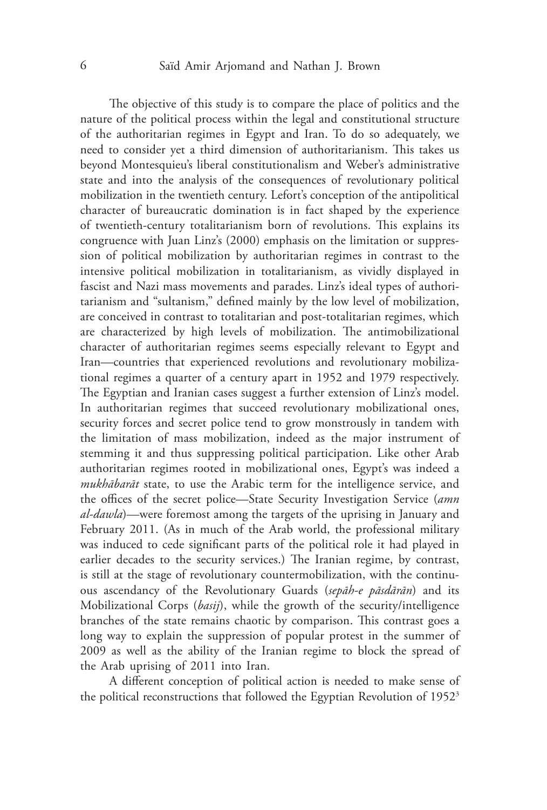The objective of this study is to compare the place of politics and the nature of the political process within the legal and constitutional structure of the authoritarian regimes in Egypt and Iran. To do so adequately, we need to consider yet a third dimension of authoritarianism. This takes us beyond Montesquieu's liberal constitutionalism and Weber's administrative state and into the analysis of the consequences of revolutionary political mobilization in the twentieth century. Lefort's conception of the antipolitical character of bureaucratic domination is in fact shaped by the experience of twentieth-century totalitarianism born of revolutions. This explains its congruence with Juan Linz's (2000) emphasis on the limitation or suppression of political mobilization by authoritarian regimes in contrast to the intensive political mobilization in totalitarianism, as vividly displayed in fascist and Nazi mass movements and parades. Linz's ideal types of authoritarianism and "sultanism," defined mainly by the low level of mobilization, are conceived in contrast to totalitarian and post-totalitarian regimes, which are characterized by high levels of mobilization. The antimobilizational character of authoritarian regimes seems especially relevant to Egypt and Iran—countries that experienced revolutions and revolutionary mobilizational regimes a quarter of a century apart in 1952 and 1979 respectively. The Egyptian and Iranian cases suggest a further extension of Linz's model. In authoritarian regimes that succeed revolutionary mobilizational ones, security forces and secret police tend to grow monstrously in tandem with the limitation of mass mobilization, indeed as the major instrument of stemming it and thus suppressing political participation. Like other Arab authoritarian regimes rooted in mobilizational ones, Egypt's was indeed a *mukhābarāt* state, to use the Arabic term for the intelligence service, and the offices of the secret police—State Security Investigation Service (*amn al‑dawla*)—were foremost among the targets of the uprising in January and February 2011. (As in much of the Arab world, the professional military was induced to cede significant parts of the political role it had played in earlier decades to the security services.) The Iranian regime, by contrast, is still at the stage of revolutionary countermobilization, with the continuous ascendancy of the Revolutionary Guards (*sepāh‑e pāsdārān*) and its Mobilizational Corps (*basij*), while the growth of the security/intelligence branches of the state remains chaotic by comparison. This contrast goes a long way to explain the suppression of popular protest in the summer of 2009 as well as the ability of the Iranian regime to block the spread of the Arab uprising of 2011 into Iran.

A different conception of political action is needed to make sense of the political reconstructions that followed the Egyptian Revolution of 1952<sup>3</sup>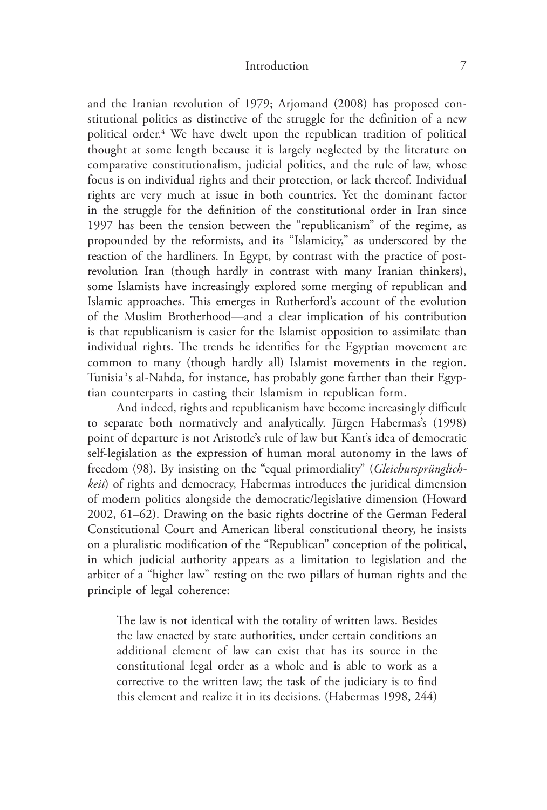and the Iranian revolution of 1979; Arjomand (2008) has proposed constitutional politics as distinctive of the struggle for the definition of a new political order.4 We have dwelt upon the republican tradition of political thought at some length because it is largely neglected by the literature on comparative constitutionalism, judicial politics, and the rule of law, whose focus is on individual rights and their protection, or lack thereof. Individual rights are very much at issue in both countries. Yet the dominant factor in the struggle for the definition of the constitutional order in Iran since 1997 has been the tension between the "republicanism" of the regime, as propounded by the reformists, and its "Islamicity," as underscored by the reaction of the hardliners. In Egypt, by contrast with the practice of postrevolution Iran (though hardly in contrast with many Iranian thinkers), some Islamists have increasingly explored some merging of republican and Islamic approaches. This emerges in Rutherford's account of the evolution of the Muslim Brotherhood—and a clear implication of his contribution is that republicanism is easier for the Islamist opposition to assimilate than individual rights. The trends he identifies for the Egyptian movement are common to many (though hardly all) Islamist movements in the region. Tunisia's al-Nahda, for instance, has probably gone farther than their Egyptian counterparts in casting their Islamism in republican form.

And indeed, rights and republicanism have become increasingly difficult to separate both normatively and analytically. Jürgen Habermas's (1998) point of departure is not Aristotle's rule of law but Kant's idea of democratic self-legislation as the expression of human moral autonomy in the laws of freedom (98). By insisting on the "equal primordiality" (*Gleichursprünglich‑ keit*) of rights and democracy, Habermas introduces the juridical dimension of modern politics alongside the democratic/legislative dimension (Howard 2002, 61–62). Drawing on the basic rights doctrine of the German Federal Constitutional Court and American liberal constitutional theory, he insists on a pluralistic modification of the "Republican" conception of the political, in which judicial authority appears as a limitation to legislation and the arbiter of a "higher law" resting on the two pillars of human rights and the principle of legal coherence:

The law is not identical with the totality of written laws. Besides the law enacted by state authorities, under certain conditions an additional element of law can exist that has its source in the constitutional legal order as a whole and is able to work as a corrective to the written law; the task of the judiciary is to find this element and realize it in its decisions. (Habermas 1998, 244)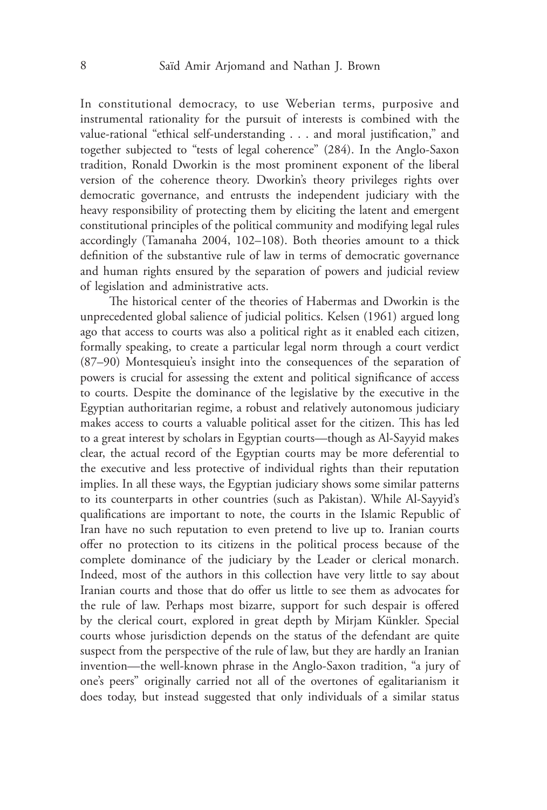In constitutional democracy, to use Weberian terms, purposive and instrumental rationality for the pursuit of interests is combined with the value-rational "ethical self-understanding . . . and moral justification," and together subjected to "tests of legal coherence" (284). In the Anglo-Saxon tradition, Ronald Dworkin is the most prominent exponent of the liberal version of the coherence theory. Dworkin's theory privileges rights over democratic governance, and entrusts the independent judiciary with the heavy responsibility of protecting them by eliciting the latent and emergent constitutional principles of the political community and modifying legal rules accordingly (Tamanaha 2004, 102–108). Both theories amount to a thick definition of the substantive rule of law in terms of democratic governance and human rights ensured by the separation of powers and judicial review of legislation and administrative acts.

The historical center of the theories of Habermas and Dworkin is the unprecedented global salience of judicial politics. Kelsen (1961) argued long ago that access to courts was also a political right as it enabled each citizen, formally speaking, to create a particular legal norm through a court verdict (87–90) Montesquieu's insight into the consequences of the separation of powers is crucial for assessing the extent and political significance of access to courts. Despite the dominance of the legislative by the executive in the Egyptian authoritarian regime, a robust and relatively autonomous judiciary makes access to courts a valuable political asset for the citizen. This has led to a great interest by scholars in Egyptian courts—though as Al‑Sayyid makes clear, the actual record of the Egyptian courts may be more deferential to the executive and less protective of individual rights than their reputation implies. In all these ways, the Egyptian judiciary shows some similar patterns to its counterparts in other countries (such as Pakistan). While Al‑Sayyid's qualifications are important to note, the courts in the Islamic Republic of Iran have no such reputation to even pretend to live up to. Iranian courts offer no protection to its citizens in the political process because of the complete dominance of the judiciary by the Leader or clerical monarch. Indeed, most of the authors in this collection have very little to say about Iranian courts and those that do offer us little to see them as advocates for the rule of law. Perhaps most bizarre, support for such despair is offered by the clerical court, explored in great depth by Mirjam Künkler. Special courts whose jurisdiction depends on the status of the defendant are quite suspect from the perspective of the rule of law, but they are hardly an Iranian invention—the well-known phrase in the Anglo-Saxon tradition, "a jury of one's peers" originally carried not all of the overtones of egalitarianism it does today, but instead suggested that only individuals of a similar status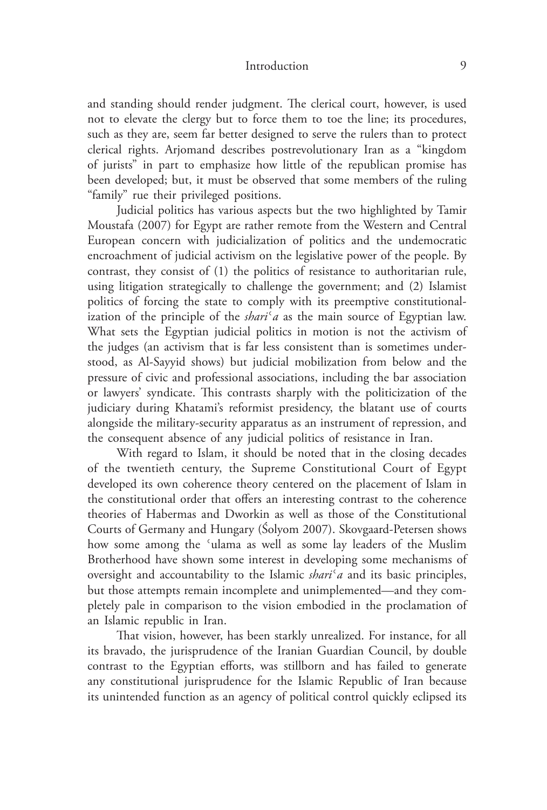and standing should render judgment. The clerical court, however, is used not to elevate the clergy but to force them to toe the line; its procedures, such as they are, seem far better designed to serve the rulers than to protect clerical rights. Arjomand describes postrevolutionary Iran as a "kingdom of jurists" in part to emphasize how little of the republican promise has been developed; but, it must be observed that some members of the ruling "family" rue their privileged positions.

Judicial politics has various aspects but the two highlighted by Tamir Moustafa (2007) for Egypt are rather remote from the Western and Central European concern with judicialization of politics and the undemocratic encroachment of judicial activism on the legislative power of the people. By contrast, they consist of (1) the politics of resistance to authoritarian rule, using litigation strategically to challenge the government; and (2) Islamist politics of forcing the state to comply with its preemptive constitutionalization of the principle of the *shari*<sup> $\alpha$ </sup> as the main source of Egyptian law. What sets the Egyptian judicial politics in motion is not the activism of the judges (an activism that is far less consistent than is sometimes understood, as Al‑Sayyid shows) but judicial mobilization from below and the pressure of civic and professional associations, including the bar association or lawyers' syndicate. This contrasts sharply with the politicization of the judiciary during Khatami's reformist presidency, the blatant use of courts alongside the military‑security apparatus as an instrument of repression, and the consequent absence of any judicial politics of resistance in Iran.

With regard to Islam, it should be noted that in the closing decades of the twentieth century, the Supreme Constitutional Court of Egypt developed its own coherence theory centered on the placement of Islam in the constitutional order that offers an interesting contrast to the coherence theories of Habermas and Dworkin as well as those of the Constitutional Courts of Germany and Hungary (Śolyom 2007). Skovgaard‑Petersen shows how some among the 'ulama as well as some lay leaders of the Muslim Brotherhood have shown some interest in developing some mechanisms of oversight and accountability to the Islamic *shari*ʿ*a* and its basic principles, but those attempts remain incomplete and unimplemented—and they completely pale in comparison to the vision embodied in the proclamation of an Islamic republic in Iran.

That vision, however, has been starkly unrealized. For instance, for all its bravado, the jurisprudence of the Iranian Guardian Council, by double contrast to the Egyptian efforts, was stillborn and has failed to generate any constitutional jurisprudence for the Islamic Republic of Iran because its unintended function as an agency of political control quickly eclipsed its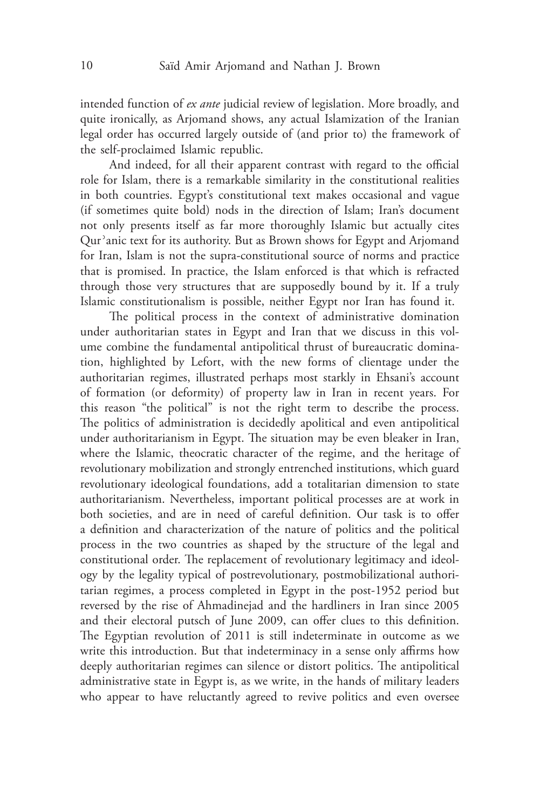intended function of *ex ante* judicial review of legislation. More broadly, and quite ironically, as Arjomand shows, any actual Islamization of the Iranian legal order has occurred largely outside of (and prior to) the framework of the self‑proclaimed Islamic republic.

And indeed, for all their apparent contrast with regard to the official role for Islam, there is a remarkable similarity in the constitutional realities in both countries. Egypt's constitutional text makes occasional and vague (if sometimes quite bold) nods in the direction of Islam; Iran's document not only presents itself as far more thoroughly Islamic but actually cites Qurʾanic text for its authority. But as Brown shows for Egypt and Arjomand for Iran, Islam is not the supra-constitutional source of norms and practice that is promised. In practice, the Islam enforced is that which is refracted through those very structures that are supposedly bound by it. If a truly Islamic constitutionalism is possible, neither Egypt nor Iran has found it.

The political process in the context of administrative domination under authoritarian states in Egypt and Iran that we discuss in this volume combine the fundamental antipolitical thrust of bureaucratic domination, highlighted by Lefort, with the new forms of clientage under the authoritarian regimes, illustrated perhaps most starkly in Ehsani's account of formation (or deformity) of property law in Iran in recent years. For this reason "the political" is not the right term to describe the process. The politics of administration is decidedly apolitical and even antipolitical under authoritarianism in Egypt. The situation may be even bleaker in Iran, where the Islamic, theocratic character of the regime, and the heritage of revolutionary mobilization and strongly entrenched institutions, which guard revolutionary ideological foundations, add a totalitarian dimension to state authoritarianism. Nevertheless, important political processes are at work in both societies, and are in need of careful definition. Our task is to offer a definition and characterization of the nature of politics and the political process in the two countries as shaped by the structure of the legal and constitutional order. The replacement of revolutionary legitimacy and ideology by the legality typical of postrevolutionary, postmobilizational authoritarian regimes, a process completed in Egypt in the post-1952 period but reversed by the rise of Ahmadinejad and the hardliners in Iran since 2005 and their electoral putsch of June 2009, can offer clues to this definition. The Egyptian revolution of 2011 is still indeterminate in outcome as we write this introduction. But that indeterminacy in a sense only affirms how deeply authoritarian regimes can silence or distort politics. The antipolitical administrative state in Egypt is, as we write, in the hands of military leaders who appear to have reluctantly agreed to revive politics and even oversee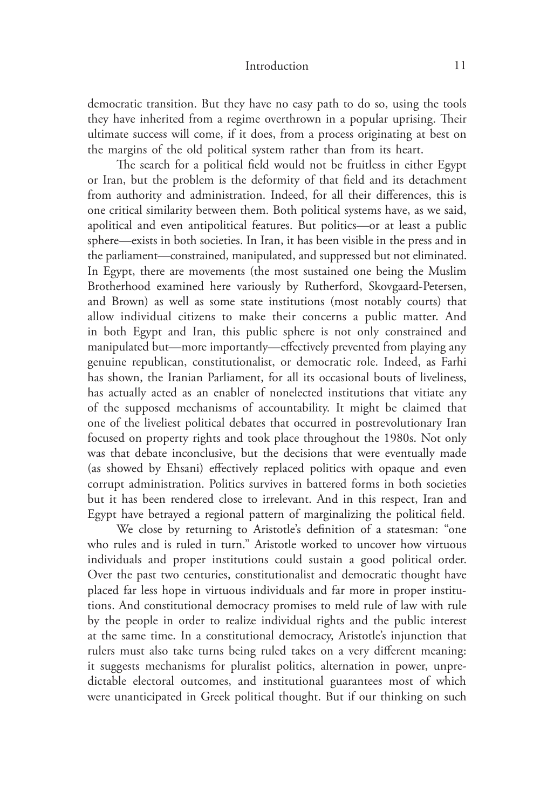democratic transition. But they have no easy path to do so, using the tools they have inherited from a regime overthrown in a popular uprising. Their ultimate success will come, if it does, from a process originating at best on the margins of the old political system rather than from its heart.

The search for a political field would not be fruitless in either Egypt or Iran, but the problem is the deformity of that field and its detachment from authority and administration. Indeed, for all their differences, this is one critical similarity between them. Both political systems have, as we said, apolitical and even antipolitical features. But politics—or at least a public sphere—exists in both societies. In Iran, it has been visible in the press and in the parliament—constrained, manipulated, and suppressed but not eliminated. In Egypt, there are movements (the most sustained one being the Muslim Brotherhood examined here variously by Rutherford, Skovgaard-Petersen, and Brown) as well as some state institutions (most notably courts) that allow individual citizens to make their concerns a public matter. And in both Egypt and Iran, this public sphere is not only constrained and manipulated but—more importantly—effectively prevented from playing any genuine republican, constitutionalist, or democratic role. Indeed, as Farhi has shown, the Iranian Parliament, for all its occasional bouts of liveliness, has actually acted as an enabler of nonelected institutions that vitiate any of the supposed mechanisms of accountability. It might be claimed that one of the liveliest political debates that occurred in postrevolutionary Iran focused on property rights and took place throughout the 1980s. Not only was that debate inconclusive, but the decisions that were eventually made (as showed by Ehsani) effectively replaced politics with opaque and even corrupt administration. Politics survives in battered forms in both societies but it has been rendered close to irrelevant. And in this respect, Iran and Egypt have betrayed a regional pattern of marginalizing the political field.

We close by returning to Aristotle's definition of a statesman: "one who rules and is ruled in turn." Aristotle worked to uncover how virtuous individuals and proper institutions could sustain a good political order. Over the past two centuries, constitutionalist and democratic thought have placed far less hope in virtuous individuals and far more in proper institutions. And constitutional democracy promises to meld rule of law with rule by the people in order to realize individual rights and the public interest at the same time. In a constitutional democracy, Aristotle's injunction that rulers must also take turns being ruled takes on a very different meaning: it suggests mechanisms for pluralist politics, alternation in power, unpredictable electoral outcomes, and institutional guarantees most of which were unanticipated in Greek political thought. But if our thinking on such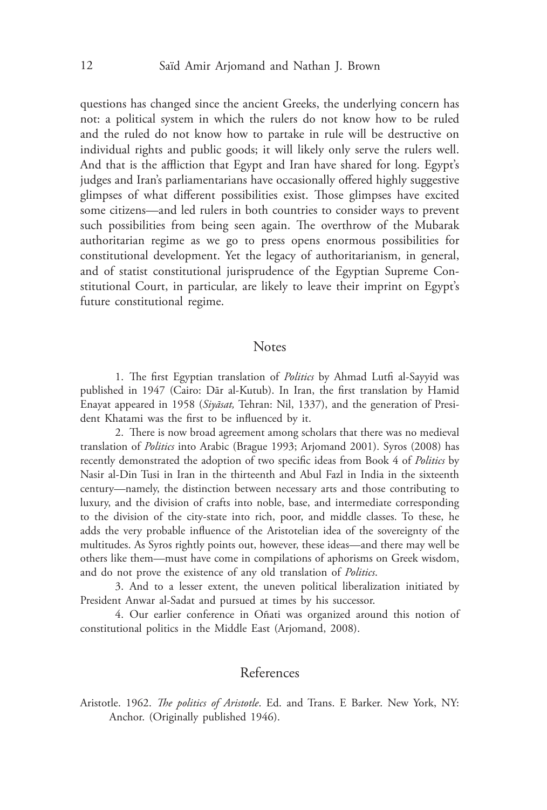questions has changed since the ancient Greeks, the underlying concern has not: a political system in which the rulers do not know how to be ruled and the ruled do not know how to partake in rule will be destructive on individual rights and public goods; it will likely only serve the rulers well. And that is the affliction that Egypt and Iran have shared for long. Egypt's judges and Iran's parliamentarians have occasionally offered highly suggestive glimpses of what different possibilities exist. Those glimpses have excited some citizens—and led rulers in both countries to consider ways to prevent such possibilities from being seen again. The overthrow of the Mubarak authoritarian regime as we go to press opens enormous possibilities for constitutional development. Yet the legacy of authoritarianism, in general, and of statist constitutional jurisprudence of the Egyptian Supreme Constitutional Court, in particular, are likely to leave their imprint on Egypt's future constitutional regime.

### **Notes**

1. The first Egyptian translation of *Politics* by Ahmad Lutfi al‑Sayyid was published in 1947 (Cairo: Dār al-Kutub). In Iran, the first translation by Hamid Enayat appeared in 1958 (*Siyāsat*, Tehran: Nil, 1337), and the generation of President Khatami was the first to be influenced by it.

2. There is now broad agreement among scholars that there was no medieval translation of *Politics* into Arabic (Brague 1993; Arjomand 2001). Syros (2008) has recently demonstrated the adoption of two specific ideas from Book 4 of *Politics* by Nasir al‑Din Tusi in Iran in the thirteenth and Abul Fazl in India in the sixteenth century—namely, the distinction between necessary arts and those contributing to luxury, and the division of crafts into noble, base, and intermediate corresponding to the division of the city‑state into rich, poor, and middle classes. To these, he adds the very probable influence of the Aristotelian idea of the sovereignty of the multitudes. As Syros rightly points out, however, these ideas—and there may well be others like them—must have come in compilations of aphorisms on Greek wisdom, and do not prove the existence of any old translation of *Politics*.

3. And to a lesser extent, the uneven political liberalization initiated by President Anwar al-Sadat and pursued at times by his successor.

4. Our earlier conference in Oñati was organized around this notion of constitutional politics in the Middle East (Arjomand, 2008).

## References

Aristotle. 1962. *The politics of Aristotle*. Ed. and Trans. E Barker. New York, NY: Anchor. (Originally published 1946).